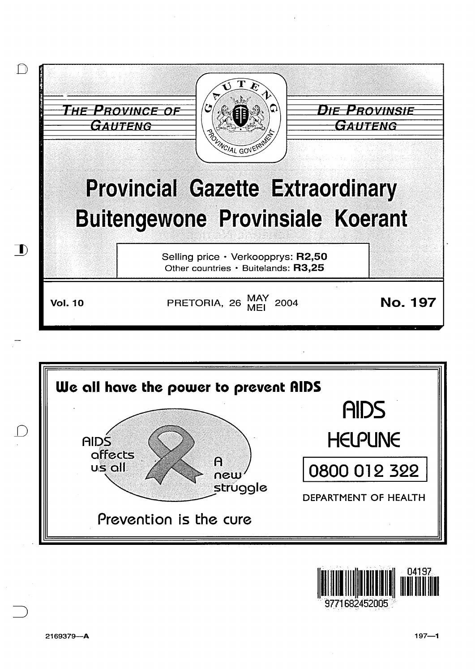



9771682452005